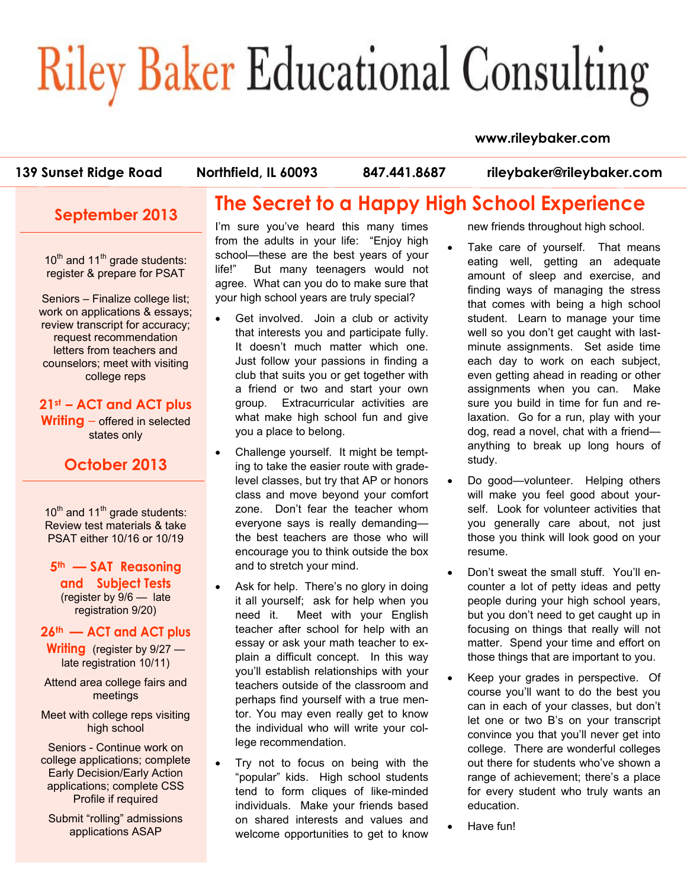# **Riley Baker Educational Consulting**

#### **www.rileybaker.com**

**The Secret to a Happy High School Experience** 

**139 Sunset Ridge Road Northfield, IL 60093 847.441.8687 rileybaker@rileybaker.com**

#### **September 2013**

 $10<sup>th</sup>$  and  $11<sup>th</sup>$  grade students: register & prepare for PSAT

Seniors – Finalize college list; work on applications & essays; review transcript for accuracy; request recommendation letters from teachers and counselors; meet with visiting college reps

#### **21st – ACT and ACT plus Writing** – offered in selected states only

#### **October 2013**

 $10<sup>th</sup>$  and  $11<sup>th</sup>$  grade students: Review test materials & take PSAT either 10/16 or 10/19

**5th — SAT Reasoning and Subject Tests**  (register by 9/6 — late registration 9/20)

#### **26th — ACT and ACT plus**

**Writing** (register by 9/27 late registration 10/11)

Attend area college fairs and meetings

Meet with college reps visiting high school

Seniors - Continue work on college applications; complete Early Decision/Early Action applications; complete CSS Profile if required

Submit "rolling" admissions applications ASAP

I'm sure you've heard this many times from the adults in your life: "Enjoy high school—these are the best years of your life!" But many teenagers would not agree. What can you do to make sure that your high school years are truly special?

- Get involved. Join a club or activity that interests you and participate fully. It doesn't much matter which one. Just follow your passions in finding a club that suits you or get together with a friend or two and start your own group. Extracurricular activities are what make high school fun and give you a place to belong.
- Challenge yourself. It might be tempting to take the easier route with gradelevel classes, but try that AP or honors class and move beyond your comfort zone. Don't fear the teacher whom everyone says is really demanding the best teachers are those who will encourage you to think outside the box and to stretch your mind.
- Ask for help. There's no glory in doing it all yourself; ask for help when you need it. Meet with your English teacher after school for help with an essay or ask your math teacher to explain a difficult concept. In this way you'll establish relationships with your teachers outside of the classroom and perhaps find yourself with a true mentor. You may even really get to know the individual who will write your college recommendation.
- Try not to focus on being with the "popular" kids. High school students tend to form cliques of like-minded individuals. Make your friends based on shared interests and values and welcome opportunities to get to know

new friends throughout high school.

- Take care of yourself. That means eating well, getting an adequate amount of sleep and exercise, and finding ways of managing the stress that comes with being a high school student. Learn to manage your time well so you don't get caught with lastminute assignments. Set aside time each day to work on each subject, even getting ahead in reading or other assignments when you can. Make sure you build in time for fun and relaxation. Go for a run, play with your dog, read a novel, chat with a friend anything to break up long hours of study.
- Do good-volunteer. Helping others will make you feel good about yourself. Look for volunteer activities that you generally care about, not just those you think will look good on your resume.
- Don't sweat the small stuff. You'll encounter a lot of petty ideas and petty people during your high school years, but you don't need to get caught up in focusing on things that really will not matter. Spend your time and effort on those things that are important to you.
- Keep your grades in perspective. Of course you'll want to do the best you can in each of your classes, but don't let one or two B's on your transcript convince you that you'll never get into college. There are wonderful colleges out there for students who've shown a range of achievement; there's a place for every student who truly wants an education.
- Have fun!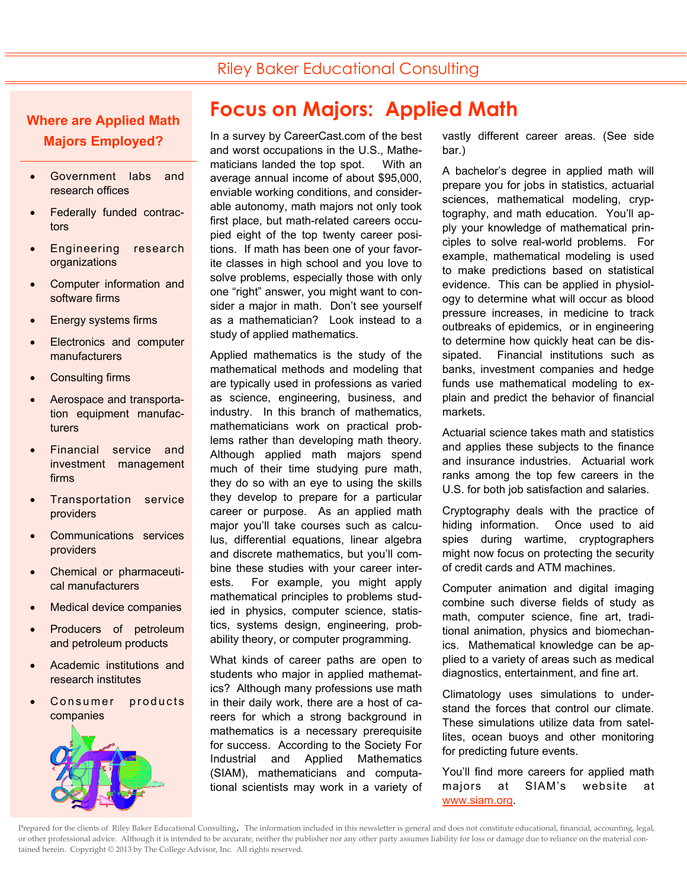## Riley Baker Educational Consulting

#### **Where are Applied Math Majors Employed?**

- Government labs and research offices
- Federally funded contractors
- Engineering research organizations
- Computer information and software firms
- Energy systems firms
- Electronics and computer manufacturers
- Consulting firms
- Aerospace and transportation equipment manufacturers
- Financial service and investment management firms
- Transportation service providers
- Communications services providers
- Chemical or pharmaceutical manufacturers
- **Medical device companies**
- Producers of petroleum and petroleum products
- Academic institutions and research institutes
- Consumer products companies



# **Focus on Majors: Applied Math**

In a survey by CareerCast.com of the best and worst occupations in the U.S., Mathematicians landed the top spot. With an average annual income of about \$95,000, enviable working conditions, and considerable autonomy, math majors not only took first place, but math-related careers occupied eight of the top twenty career positions. If math has been one of your favorite classes in high school and you love to solve problems, especially those with only one "right" answer, you might want to consider a major in math. Don't see yourself as a mathematician? Look instead to a study of applied mathematics.

Applied mathematics is the study of the mathematical methods and modeling that are typically used in professions as varied as science, engineering, business, and industry. In this branch of mathematics, mathematicians work on practical problems rather than developing math theory. Although applied math majors spend much of their time studying pure math, they do so with an eye to using the skills they develop to prepare for a particular career or purpose. As an applied math major you'll take courses such as calculus, differential equations, linear algebra and discrete mathematics, but you'll combine these studies with your career interests. For example, you might apply mathematical principles to problems studied in physics, computer science, statistics, systems design, engineering, probability theory, or computer programming.

What kinds of career paths are open to students who major in applied mathematics? Although many professions use math in their daily work, there are a host of careers for which a strong background in mathematics is a necessary prerequisite for success. According to the Society For Industrial and Applied Mathematics (SIAM), mathematicians and computational scientists may work in a variety of

vastly different career areas. (See side bar.)

A bachelor's degree in applied math will prepare you for jobs in statistics, actuarial sciences, mathematical modeling, cryptography, and math education. You'll apply your knowledge of mathematical principles to solve real-world problems. For example, mathematical modeling is used to make predictions based on statistical evidence. This can be applied in physiology to determine what will occur as blood pressure increases, in medicine to track outbreaks of epidemics, or in engineering to determine how quickly heat can be dissipated. Financial institutions such as banks, investment companies and hedge funds use mathematical modeling to explain and predict the behavior of financial markets.

Actuarial science takes math and statistics and applies these subjects to the finance and insurance industries. Actuarial work ranks among the top few careers in the U.S. for both job satisfaction and salaries.

Cryptography deals with the practice of hiding information. Once used to aid spies during wartime, cryptographers might now focus on protecting the security of credit cards and ATM machines.

Computer animation and digital imaging combine such diverse fields of study as math, computer science, fine art, traditional animation, physics and biomechanics. Mathematical knowledge can be applied to a variety of areas such as medical diagnostics, entertainment, and fine art.

Climatology uses simulations to understand the forces that control our climate. These simulations utilize data from satellites, ocean buoys and other monitoring for predicting future events.

You'll find more careers for applied math majors at SIAM's website at www.siam.org.

Prepared for the clients of Riley Baker Educational Consulting. The information included in this newsletter is general and does not constitute educational, financial, accounting, legal, or other professional advice. Although it is intended to be accurate, neither the publisher nor any other party assumes liability for loss or damage due to reliance on the material contained herein. Copyright © 2013 by The College Advisor, Inc. All rights reserved.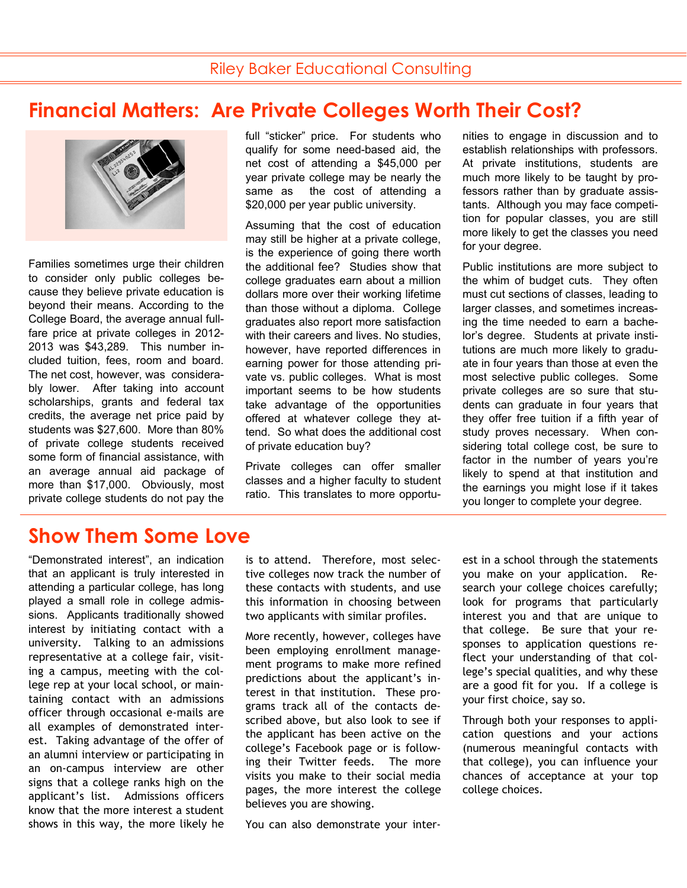## **Financial Matters: Are Private Colleges Worth Their Cost?**



Families sometimes urge their children to consider only public colleges because they believe private education is beyond their means. According to the College Board, the average annual fullfare price at private colleges in 2012- 2013 was \$43,289. This number included tuition, fees, room and board. The net cost, however, was considerably lower. After taking into account scholarships, grants and federal tax credits, the average net price paid by students was \$27,600. More than 80% of private college students received some form of financial assistance, with an average annual aid package of more than \$17,000. Obviously, most private college students do not pay the full "sticker" price. For students who qualify for some need-based aid, the net cost of attending a \$45,000 per year private college may be nearly the same as the cost of attending a \$20,000 per year public university.

Assuming that the cost of education may still be higher at a private college, is the experience of going there worth the additional fee? Studies show that college graduates earn about a million dollars more over their working lifetime than those without a diploma. College graduates also report more satisfaction with their careers and lives. No studies. however, have reported differences in earning power for those attending private vs. public colleges. What is most important seems to be how students take advantage of the opportunities offered at whatever college they attend. So what does the additional cost of private education buy?

Private colleges can offer smaller classes and a higher faculty to student ratio. This translates to more opportunities to engage in discussion and to establish relationships with professors. At private institutions, students are much more likely to be taught by professors rather than by graduate assistants. Although you may face competition for popular classes, you are still more likely to get the classes you need for your degree.

Public institutions are more subject to the whim of budget cuts. They often must cut sections of classes, leading to larger classes, and sometimes increasing the time needed to earn a bachelor's degree. Students at private institutions are much more likely to graduate in four years than those at even the most selective public colleges. Some private colleges are so sure that students can graduate in four years that they offer free tuition if a fifth year of study proves necessary. When considering total college cost, be sure to factor in the number of years you're likely to spend at that institution and the earnings you might lose if it takes you longer to complete your degree.

## **Show Them Some Love**

"Demonstrated interest", an indication that an applicant is truly interested in attending a particular college, has long played a small role in college admissions. Applicants traditionally showed interest by initiating contact with a university. Talking to an admissions representative at a college fair, visiting a campus, meeting with the college rep at your local school, or maintaining contact with an admissions officer through occasional e-mails are all examples of demonstrated interest. Taking advantage of the offer of an alumni interview or participating in an on-campus interview are other signs that a college ranks high on the applicant's list. Admissions officers know that the more interest a student shows in this way, the more likely he

is to attend. Therefore, most selective colleges now track the number of these contacts with students, and use this information in choosing between two applicants with similar profiles.

More recently, however, colleges have been employing enrollment management programs to make more refined predictions about the applicant's interest in that institution. These programs track all of the contacts described above, but also look to see if the applicant has been active on the college's Facebook page or is following their Twitter feeds. The more visits you make to their social media pages, the more interest the college believes you are showing.

You can also demonstrate your inter-

est in a school through the statements you make on your application. Research your college choices carefully; look for programs that particularly interest you and that are unique to that college. Be sure that your responses to application questions reflect your understanding of that college's special qualities, and why these are a good fit for you. If a college is your first choice, say so.

Through both your responses to application questions and your actions (numerous meaningful contacts with that college), you can influence your chances of acceptance at your top college choices.